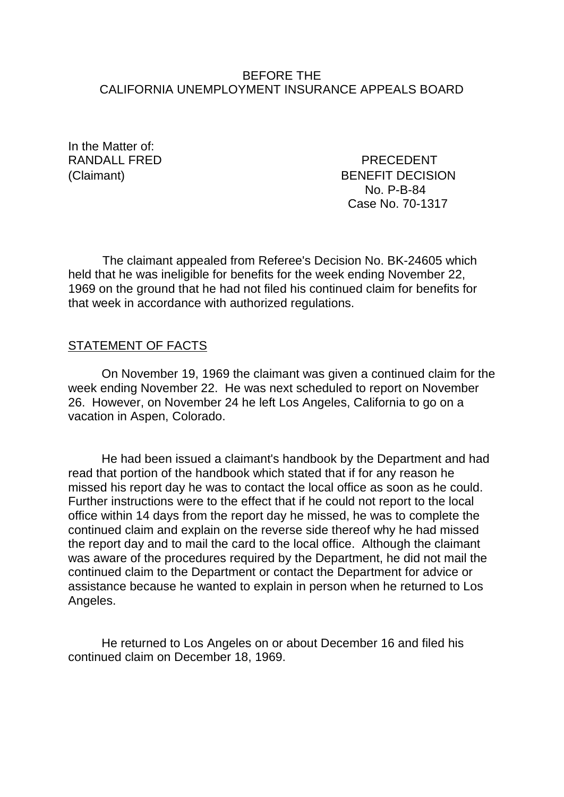### BEFORE THE CALIFORNIA UNEMPLOYMENT INSURANCE APPEALS BOARD

In the Matter of:

RANDALL FRED PRECEDENT (Claimant) BENEFIT DECISION No. P-B-84 Case No. 70-1317

The claimant appealed from Referee's Decision No. BK-24605 which held that he was ineligible for benefits for the week ending November 22, 1969 on the ground that he had not filed his continued claim for benefits for that week in accordance with authorized regulations.

### STATEMENT OF FACTS

On November 19, 1969 the claimant was given a continued claim for the week ending November 22. He was next scheduled to report on November 26. However, on November 24 he left Los Angeles, California to go on a vacation in Aspen, Colorado.

He had been issued a claimant's handbook by the Department and had read that portion of the handbook which stated that if for any reason he missed his report day he was to contact the local office as soon as he could. Further instructions were to the effect that if he could not report to the local office within 14 days from the report day he missed, he was to complete the continued claim and explain on the reverse side thereof why he had missed the report day and to mail the card to the local office. Although the claimant was aware of the procedures required by the Department, he did not mail the continued claim to the Department or contact the Department for advice or assistance because he wanted to explain in person when he returned to Los Angeles.

He returned to Los Angeles on or about December 16 and filed his continued claim on December 18, 1969.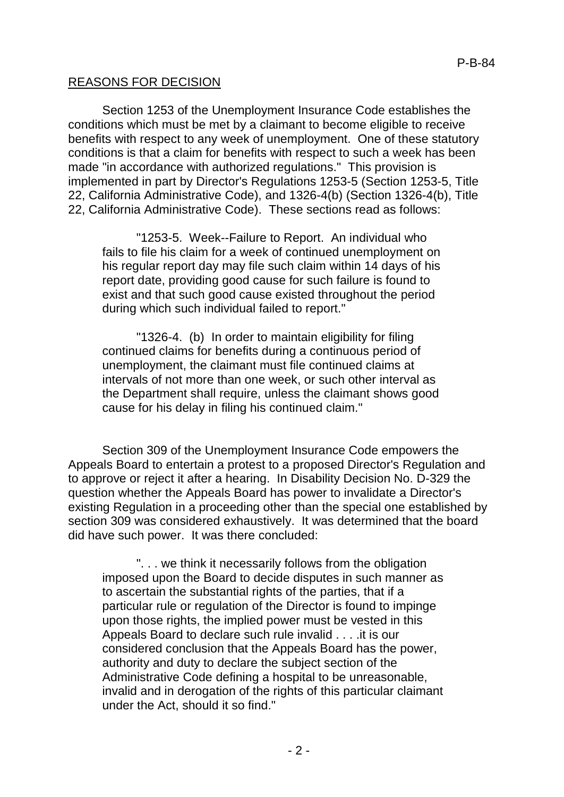# REASONS FOR DECISION

Section 1253 of the Unemployment Insurance Code establishes the conditions which must be met by a claimant to become eligible to receive benefits with respect to any week of unemployment. One of these statutory conditions is that a claim for benefits with respect to such a week has been made "in accordance with authorized regulations." This provision is implemented in part by Director's Regulations 1253-5 (Section 1253-5, Title 22, California Administrative Code), and 1326-4(b) (Section 1326-4(b), Title 22, California Administrative Code). These sections read as follows:

"1253-5. Week--Failure to Report. An individual who fails to file his claim for a week of continued unemployment on his regular report day may file such claim within 14 days of his report date, providing good cause for such failure is found to exist and that such good cause existed throughout the period during which such individual failed to report."

"1326-4. (b) In order to maintain eligibility for filing continued claims for benefits during a continuous period of unemployment, the claimant must file continued claims at intervals of not more than one week, or such other interval as the Department shall require, unless the claimant shows good cause for his delay in filing his continued claim."

Section 309 of the Unemployment Insurance Code empowers the Appeals Board to entertain a protest to a proposed Director's Regulation and to approve or reject it after a hearing. In Disability Decision No. D-329 the question whether the Appeals Board has power to invalidate a Director's existing Regulation in a proceeding other than the special one established by section 309 was considered exhaustively. It was determined that the board did have such power. It was there concluded:

". . . we think it necessarily follows from the obligation imposed upon the Board to decide disputes in such manner as to ascertain the substantial rights of the parties, that if a particular rule or regulation of the Director is found to impinge upon those rights, the implied power must be vested in this Appeals Board to declare such rule invalid . . . .it is our considered conclusion that the Appeals Board has the power, authority and duty to declare the subject section of the Administrative Code defining a hospital to be unreasonable, invalid and in derogation of the rights of this particular claimant under the Act, should it so find."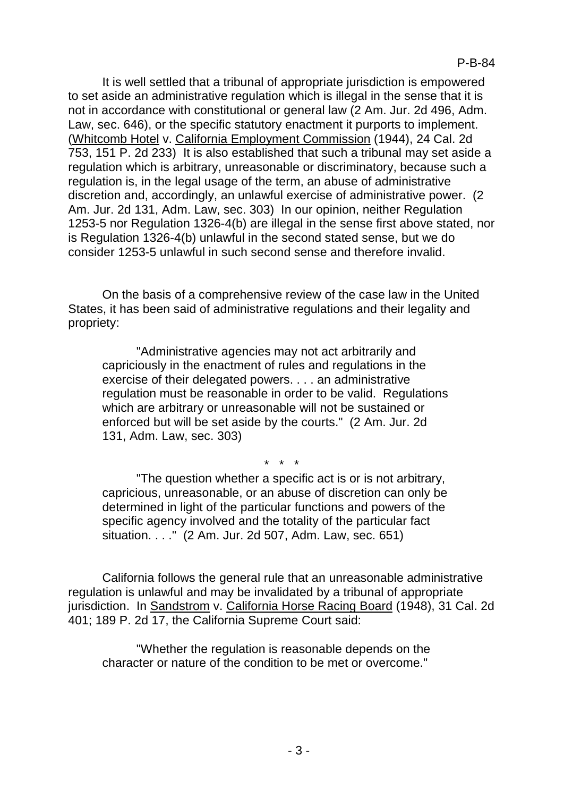It is well settled that a tribunal of appropriate jurisdiction is empowered to set aside an administrative regulation which is illegal in the sense that it is not in accordance with constitutional or general law (2 Am. Jur. 2d 496, Adm. Law, sec. 646), or the specific statutory enactment it purports to implement. (Whitcomb Hotel v. California Employment Commission (1944), 24 Cal. 2d 753, 151 P. 2d 233) It is also established that such a tribunal may set aside a regulation which is arbitrary, unreasonable or discriminatory, because such a regulation is, in the legal usage of the term, an abuse of administrative discretion and, accordingly, an unlawful exercise of administrative power. (2 Am. Jur. 2d 131, Adm. Law, sec. 303) In our opinion, neither Regulation 1253-5 nor Regulation 1326-4(b) are illegal in the sense first above stated, nor is Regulation 1326-4(b) unlawful in the second stated sense, but we do consider 1253-5 unlawful in such second sense and therefore invalid.

On the basis of a comprehensive review of the case law in the United States, it has been said of administrative regulations and their legality and propriety:

"Administrative agencies may not act arbitrarily and capriciously in the enactment of rules and regulations in the exercise of their delegated powers. . . . an administrative regulation must be reasonable in order to be valid. Regulations which are arbitrary or unreasonable will not be sustained or enforced but will be set aside by the courts." (2 Am. Jur. 2d 131, Adm. Law, sec. 303)

\* \* \*

"The question whether a specific act is or is not arbitrary, capricious, unreasonable, or an abuse of discretion can only be determined in light of the particular functions and powers of the specific agency involved and the totality of the particular fact situation. . . ." (2 Am. Jur. 2d 507, Adm. Law, sec. 651)

California follows the general rule that an unreasonable administrative regulation is unlawful and may be invalidated by a tribunal of appropriate jurisdiction. In Sandstrom v. California Horse Racing Board (1948), 31 Cal. 2d 401; 189 P. 2d 17, the California Supreme Court said:

"Whether the regulation is reasonable depends on the character or nature of the condition to be met or overcome."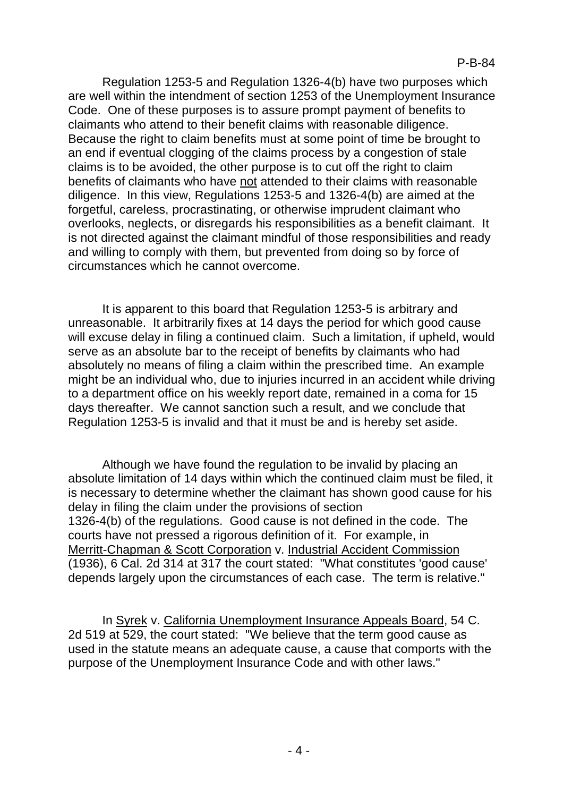Regulation 1253-5 and Regulation 1326-4(b) have two purposes which are well within the intendment of section 1253 of the Unemployment Insurance Code. One of these purposes is to assure prompt payment of benefits to claimants who attend to their benefit claims with reasonable diligence. Because the right to claim benefits must at some point of time be brought to an end if eventual clogging of the claims process by a congestion of stale claims is to be avoided, the other purpose is to cut off the right to claim benefits of claimants who have not attended to their claims with reasonable diligence. In this view, Regulations 1253-5 and 1326-4(b) are aimed at the forgetful, careless, procrastinating, or otherwise imprudent claimant who overlooks, neglects, or disregards his responsibilities as a benefit claimant. It is not directed against the claimant mindful of those responsibilities and ready and willing to comply with them, but prevented from doing so by force of circumstances which he cannot overcome.

It is apparent to this board that Regulation 1253-5 is arbitrary and unreasonable. It arbitrarily fixes at 14 days the period for which good cause will excuse delay in filing a continued claim. Such a limitation, if upheld, would serve as an absolute bar to the receipt of benefits by claimants who had absolutely no means of filing a claim within the prescribed time. An example might be an individual who, due to injuries incurred in an accident while driving to a department office on his weekly report date, remained in a coma for 15 days thereafter. We cannot sanction such a result, and we conclude that Regulation 1253-5 is invalid and that it must be and is hereby set aside.

Although we have found the regulation to be invalid by placing an absolute limitation of 14 days within which the continued claim must be filed, it is necessary to determine whether the claimant has shown good cause for his delay in filing the claim under the provisions of section 1326-4(b) of the regulations. Good cause is not defined in the code. The courts have not pressed a rigorous definition of it. For example, in Merritt-Chapman & Scott Corporation v. Industrial Accident Commission (1936), 6 Cal. 2d 314 at 317 the court stated: "What constitutes 'good cause' depends largely upon the circumstances of each case. The term is relative."

In Syrek v. California Unemployment Insurance Appeals Board, 54 C. 2d 519 at 529, the court stated: "We believe that the term good cause as used in the statute means an adequate cause, a cause that comports with the purpose of the Unemployment Insurance Code and with other laws."